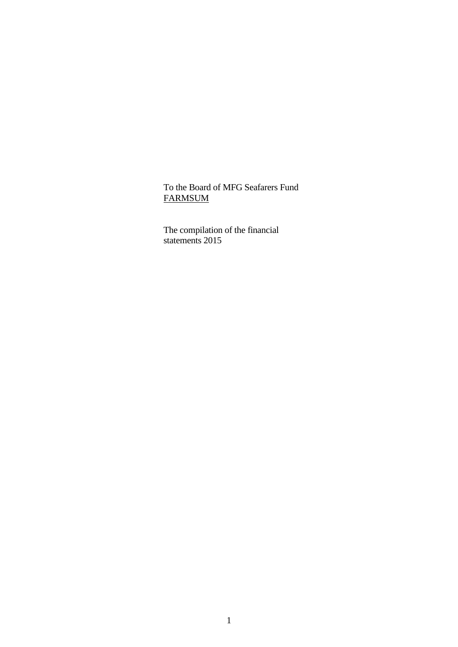### To the Board of MFG Seafarers Fund FARMSUM

 The compilation of the financial statements 2015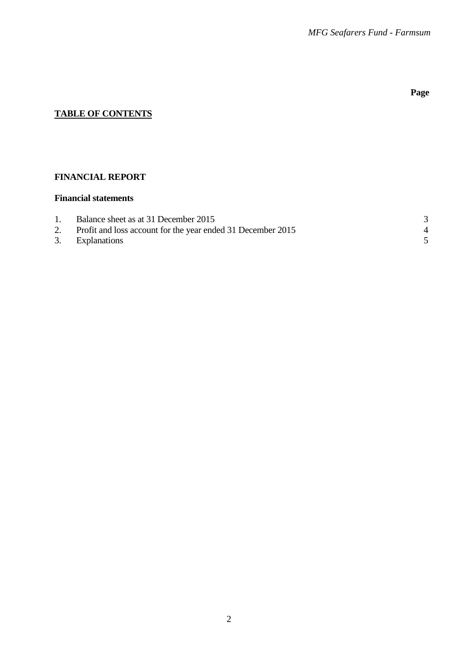## **Page**

# **TABLE OF CONTENTS**

## **FINANCIAL REPORT**

### **Financial statements**

| Balance sheet as at 31 December 2015                           |  |
|----------------------------------------------------------------|--|
| 2. Profit and loss account for the year ended 31 December 2015 |  |
| 3. Explanations                                                |  |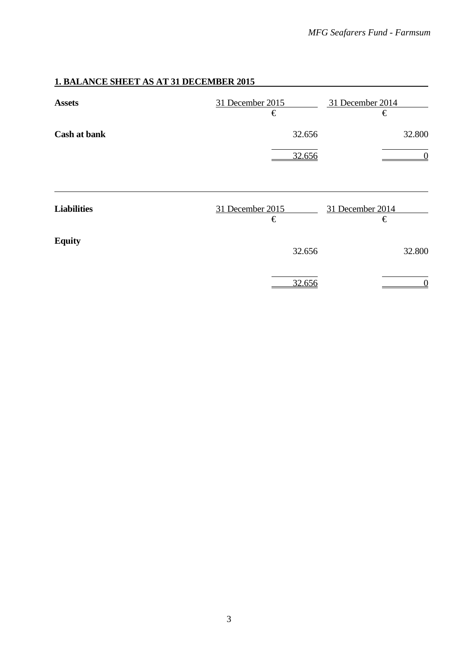# **1. BALANCE SHEET AS AT 31 DECEMBER 2015**

| <b>Assets</b>       | 31 December 2015<br>€ | 31 December 2014<br>€ |
|---------------------|-----------------------|-----------------------|
| <b>Cash at bank</b> | 32.656                | 32.800                |
|                     | 32.656                | $\boldsymbol{0}$      |
| <b>Liabilities</b>  | 31 December 2015<br>€ | 31 December 2014<br>€ |
| <b>Equity</b>       | 32.656                | 32.800                |
|                     | 32.656                | $\boldsymbol{0}$      |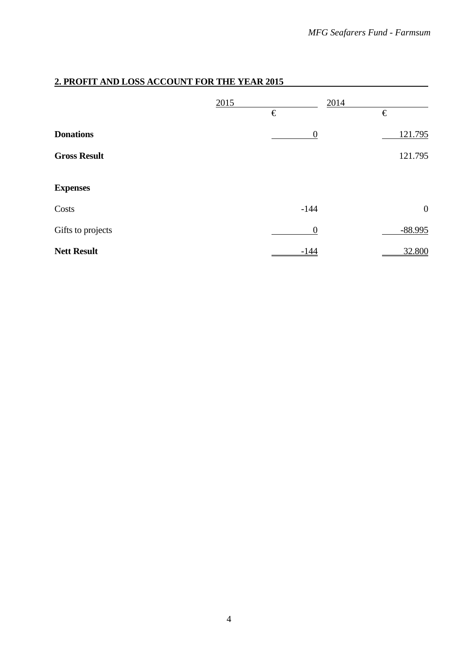|                     | 2015 | €                | 2014<br>€        |  |  |
|---------------------|------|------------------|------------------|--|--|
| <b>Donations</b>    |      | $\boldsymbol{0}$ | 121.795          |  |  |
| <b>Gross Result</b> |      |                  | 121.795          |  |  |
| <b>Expenses</b>     |      |                  |                  |  |  |
| Costs               |      | $-144$           | $\boldsymbol{0}$ |  |  |
| Gifts to projects   |      | $\boldsymbol{0}$ | $-88.995$        |  |  |
| <b>Nett Result</b>  |      | $-144$           | 32.800           |  |  |

## **2. PROFIT AND LOSS ACCOUNT FOR THE YEAR 2015**